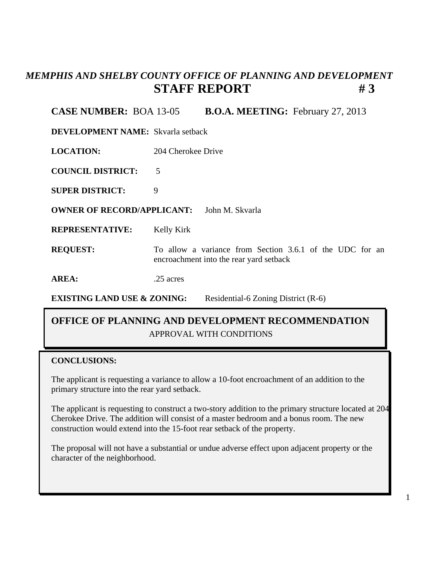# *MEMPHIS AND SHELBY COUNTY OFFICE OF PLANNING AND DEVELOPMENT* **STAFF REPORT** #3

### **CASE NUMBER:** BOA 13-05 **B.O.A. MEETING:** February 27, 2013

**DEVELOPMENT NAME:** Skvarla setback

**LOCATION:** 204 Cherokee Drive

**COUNCIL DISTRICT:** 5

**SUPER DISTRICT:** 9

**OWNER OF RECORD/APPLICANT:** John M. Skvarla

**REPRESENTATIVE:** Kelly Kirk

**REQUEST:** To allow a variance from Section 3.6.1 of the UDC for an encroachment into the rear yard setback

**AREA:** .25 acres

**EXISTING LAND USE & ZONING:** Residential-6 Zoning District (R-6)

## APPROVAL WITH CONDITIONS **OFFICE OF PLANNING AND DEVELOPMENT RECOMMENDATION**

### **CONCLUSIONS:**

The applicant is requesting a variance to allow a 10-foot encroachment of an addition to the primary structure into the rear yard setback.

The applicant is requesting to construct a two-story addition to the primary structure located at 204 Cherokee Drive. The addition will consist of a master bedroom and a bonus room. The new construction would extend into the 15-foot rear setback of the property.

The proposal will not have a substantial or undue adverse effect upon adjacent property or the character of the neighborhood.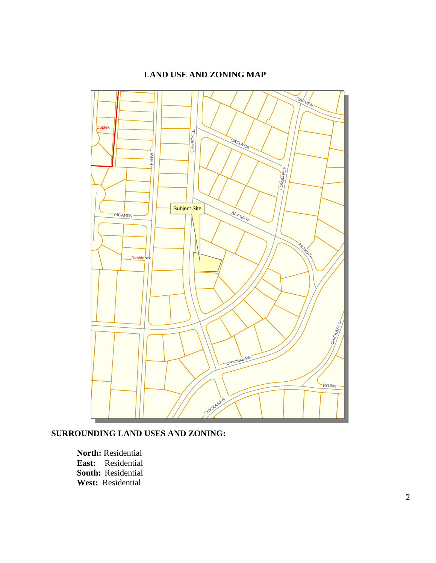#### **LAND USE AND ZONING MAP**



**SURROUNDING LAND USES AND ZONING:**

**North:** Residential **East:** Residential **South:** Residential **West:** Residential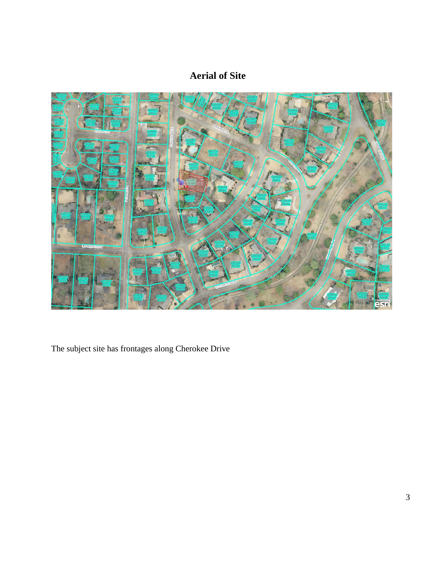# **Aerial of Site**



The subject site has frontages along Cherokee Drive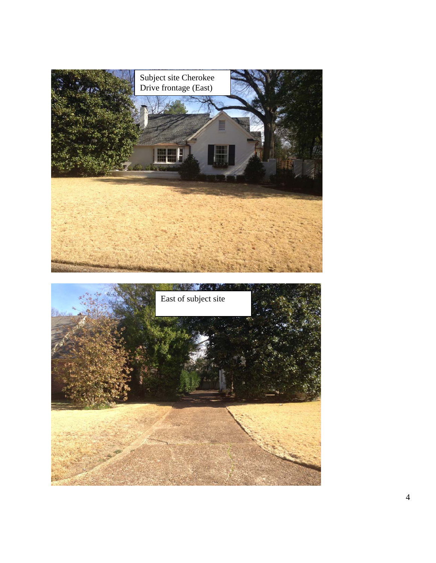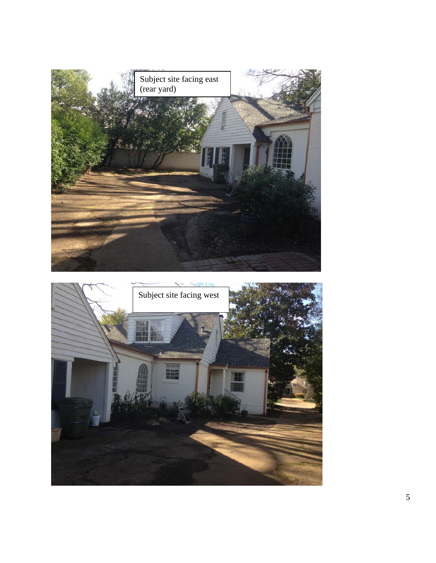

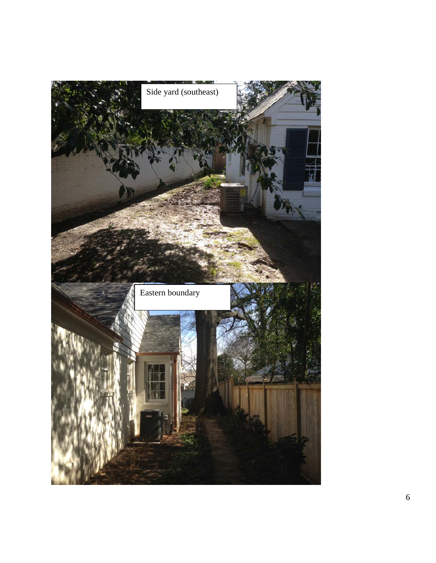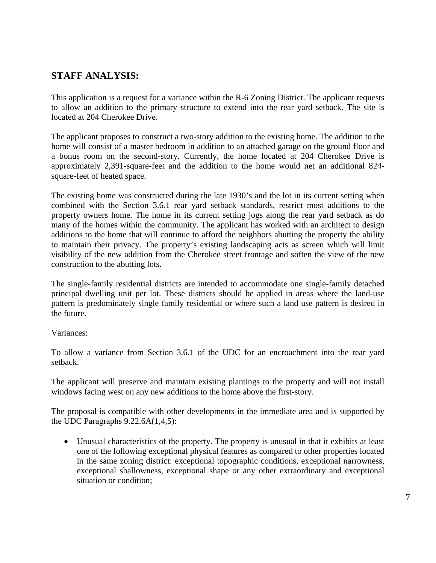### **STAFF ANALYSIS:**

This application is a request for a variance within the R-6 Zoning District. The applicant requests to allow an addition to the primary structure to extend into the rear yard setback. The site is located at 204 Cherokee Drive.

The applicant proposes to construct a two-story addition to the existing home. The addition to the home will consist of a master bedroom in addition to an attached garage on the ground floor and a bonus room on the second-story. Currently, the home located at 204 Cherokee Drive is approximately 2,391-square-feet and the addition to the home would net an additional 824 square-feet of heated space.

The existing home was constructed during the late 1930's and the lot in its current setting when combined with the Section 3.6.1 rear yard setback standards, restrict most additions to the property owners home. The home in its current setting jogs along the rear yard setback as do many of the homes within the community. The applicant has worked with an architect to design additions to the home that will continue to afford the neighbors abutting the property the ability to maintain their privacy. The property's existing landscaping acts as screen which will limit visibility of the new addition from the Cherokee street frontage and soften the view of the new construction to the abutting lots.

The single-family residential districts are intended to accommodate one single-family detached principal dwelling unit per lot. These districts should be applied in areas where the land-use pattern is predominately single family residential or where such a land use pattern is desired in the future.

#### Variances:

To allow a variance from Section 3.6.1 of the UDC for an encroachment into the rear yard setback.

The applicant will preserve and maintain existing plantings to the property and will not install windows facing west on any new additions to the home above the first-story.

The proposal is compatible with other developments in the immediate area and is supported by the UDC Paragraphs  $9.22.6A(1,4,5)$ :

• Unusual characteristics of the property. The property is unusual in that it exhibits at least one of the following exceptional physical features as compared to other properties located in the same zoning district: exceptional topographic conditions, exceptional narrowness, exceptional shallowness, exceptional shape or any other extraordinary and exceptional situation or condition;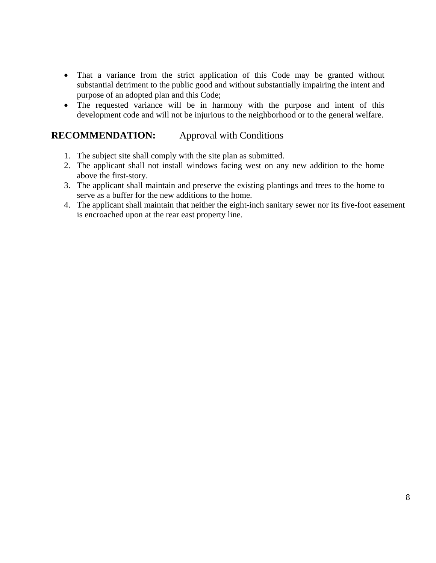- That a variance from the strict application of this Code may be granted without substantial detriment to the public good and without substantially impairing the intent and purpose of an adopted plan and this Code;
- The requested variance will be in harmony with the purpose and intent of this development code and will not be injurious to the neighborhood or to the general welfare.

### **RECOMMENDATION:** Approval with Conditions

- 1. The subject site shall comply with the site plan as submitted.
- 2. The applicant shall not install windows facing west on any new addition to the home above the first-story.
- 3. The applicant shall maintain and preserve the existing plantings and trees to the home to serve as a buffer for the new additions to the home.
- 4. The applicant shall maintain that neither the eight-inch sanitary sewer nor its five-foot easement is encroached upon at the rear east property line.